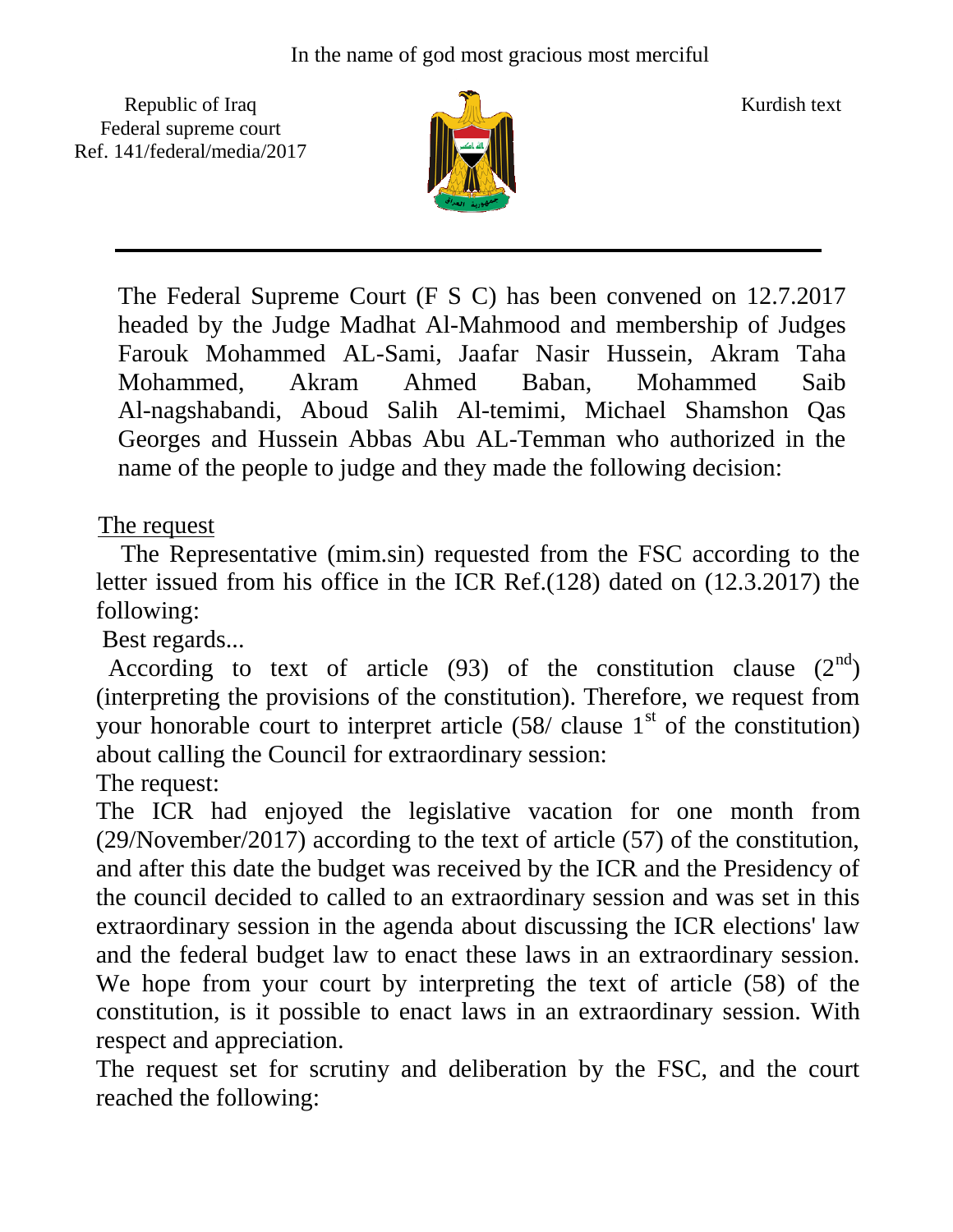Republic of Iraq  $\frac{1}{\sqrt{n}}$  Kurdish text Federal supreme court Ref. 141/federal/media/2017



The Federal Supreme Court (F S C) has been convened on 12.7.2017 headed by the Judge Madhat Al-Mahmood and membership of Judges Farouk Mohammed AL-Sami, Jaafar Nasir Hussein, Akram Taha Mohammed, Akram Ahmed Baban, Mohammed Saib Al-nagshabandi, Aboud Salih Al-temimi, Michael Shamshon Qas Georges and Hussein Abbas Abu AL-Temman who authorized in the name of the people to judge and they made the following decision:

## The request

 The Representative (mim.sin) requested from the FSC according to the letter issued from his office in the ICR Ref.(128) dated on (12.3.2017) the following:

Best regards...

According to text of article (93) of the constitution clause  $(2^{nd})$ (interpreting the provisions of the constitution). Therefore, we request from your honorable court to interpret article  $(58/ \text{ clause } 1^{\text{st}})$  of the constitution) about calling the Council for extraordinary session:

The request:

The ICR had enjoyed the legislative vacation for one month from (29/November/2017) according to the text of article (57) of the constitution, and after this date the budget was received by the ICR and the Presidency of the council decided to called to an extraordinary session and was set in this extraordinary session in the agenda about discussing the ICR elections' law and the federal budget law to enact these laws in an extraordinary session. We hope from your court by interpreting the text of article (58) of the constitution, is it possible to enact laws in an extraordinary session. With respect and appreciation.

The request set for scrutiny and deliberation by the FSC, and the court reached the following: